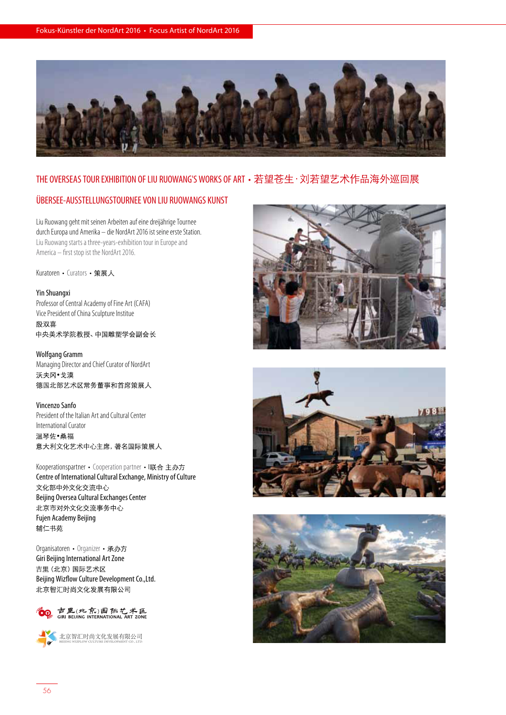

### THE OVERSEAS TOUR EXHIBITION OF LIU RUOWANG'S WORKS OF ART · 若望苍生 · 刘若望艺术作品海外巡回展

## ÜBERSEE-AUSSTELLUNGSTOURNEE VON LIU RUOWANGS KUNST

Liu Ruowang geht mit seinen Arbeiten auf eine dreijährige Tournee durch Europa und Amerika – die NordArt 2016 ist seine erste Station. Liu Ruowang starts a three-years-exhibition tour in Europe and America – first stop ist the NordArt 2016.

Kuratoren • Curators • 策展人

#### Yin Shuangxi

Professor of Central Academy of Fine Art (CAFA) Vice President of China Sculpture Institue 殷双喜 中央美术学院教授、中国雕塑学会副会长

Wolfgang Gramm

Managing Director and Chief Curator of NordArt 沃夫冈•戈漠 德国北部艺术区常务董事和首席策展人

#### Vincenzo Sanfo

President of the Italian Art and Cultural Center International Curator 温琴佐·桑福 意大利文化艺术中心主席, 著名国际策展人

Kooperationspartner • Cooperation partner • I联合主办方 Centre of International Cultural Exchange, Ministry of Culture 文化部中外文化交流中心 Beijing Oversea Cultural Exchanges Center 北京市对外文化交流事务中心 Fujen Academy Beijing 辅仁书苑

Organisatoren • Organizer • 承办方 Giri Beijing International Art Zone 吉里 (北京) 国际艺术区 Beijing Wizflow Culture Development Co.,Ltd. 北京智汇时尚文化发展有限公司









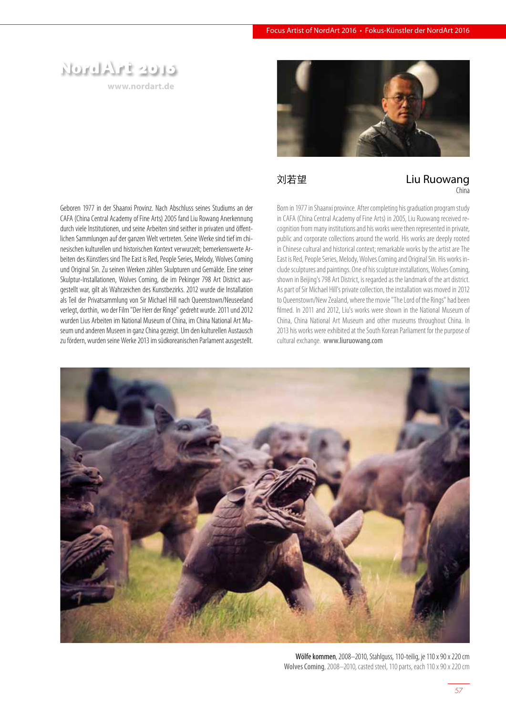# NordArt 2016

**www.nordart.de**



刘若望 **Example 20** Liu Ruowang China

Geboren 1977 in der Shaanxi Provinz. Nach Abschluss seines Studiums an der CAFA (China Central Academy of Fine Arts) 2005 fand Liu Rowang Anerkennung durch viele Institutionen, und seine Arbeiten sind seither in privaten und öffentlichen Sammlungen auf der ganzen Welt vertreten. Seine Werke sind tief im chinesischen kulturellen und historischen Kontext verwurzelt; bemerkenswerte Arbeiten des Künstlers sind The East is Red, People Series, Melody, Wolves Coming und Original Sin. Zu seinen Werken zählen Skulpturen und Gemälde. Eine seiner Skulptur-Installationen, Wolves Coming, die im Pekinger 798 Art District ausgestellt war, gilt als Wahrzeichen des Kunstbezirks. 2012 wurde die Installation als Teil der Privatsammlung von Sir Michael Hill nach Queenstown/Neuseeland verlegt, dorthin, wo der Film "Der Herr der Ringe" gedreht wurde. 2011 und 2012 wurden Lius Arbeiten im National Museum of China, im China National Art Museum und anderen Museen in ganz China gezeigt. Um den kulturellen Austausch zu fördern, wurden seine Werke 2013 im südkoreanischen Parlament ausgestellt. Born in 1977 in Shaanxi province. After completing his graduation program study in CAFA (China Central Academy of Fine Arts) in 2005, Liu Ruowang received recognition from many institutions and his works were then represented in private, public and corporate collections around the world. His works are deeply rooted in Chinese cultural and historical context; remarkable works by the artist are The East is Red, People Series, Melody, Wolves Coming and Original Sin. His works include sculptures and paintings. One of his sculpture installations, Wolves Coming, shown in Beijing's 798 Art District, is regarded as the landmark of the art district. As part of Sir Michael Hill's private collection, the installation was moved in 2012 to Queenstown/New Zealand, where the movie "The Lord of the Rings" had been filmed. In 2011 and 2012, Liu's works were shown in the National Museum of China, China National Art Museum and other museums throughout China. In 2013 his works were exhibited at the South Korean Parliament for the purpose of cultural exchange. www.liuruowang.com



Wölfe kommen, 2008–2010, Stahlguss, 110-teilig, je 110 x 90 x 220 cm Wolves Coming, 2008–2010, casted steel, 110 parts, each 110 x 90 x 220 cm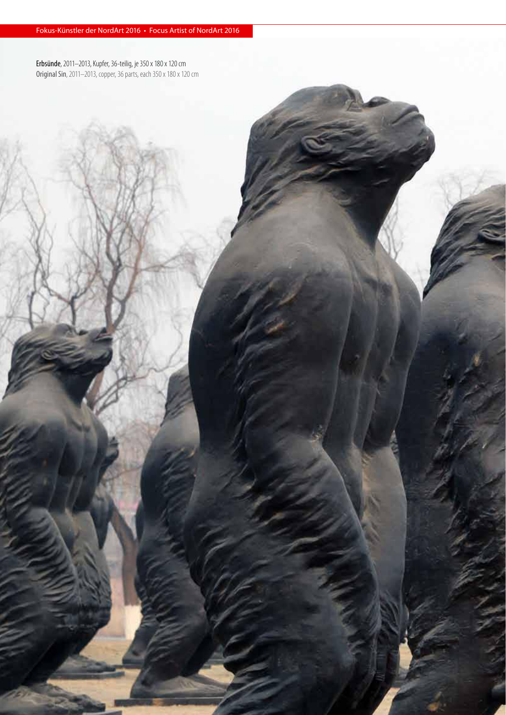Erbsünde, 2011–2013, Kupfer, 36-teilig, je 350 x 180 x 120 cm Original Sin, 2011-2013, copper, 36 parts, each 350 x 180 x 120 cm